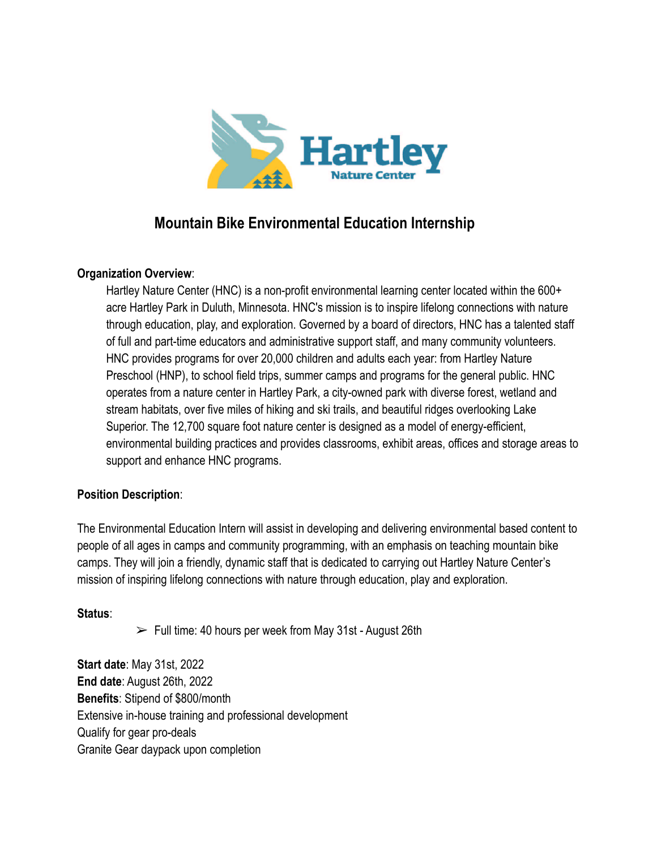

# **Mountain Bike Environmental Education Internship**

### **Organization Overview**:

Hartley Nature Center (HNC) is a non-profit environmental learning center located within the 600+ acre Hartley Park in Duluth, Minnesota. HNC's mission is to inspire lifelong connections with nature through education, play, and exploration. Governed by a board of directors, HNC has a talented staff of full and part-time educators and administrative support staff, and many community volunteers. HNC provides programs for over 20,000 children and adults each year: from Hartley Nature Preschool (HNP), to school field trips, summer camps and programs for the general public. HNC operates from a nature center in Hartley Park, a city-owned park with diverse forest, wetland and stream habitats, over five miles of hiking and ski trails, and beautiful ridges overlooking Lake Superior. The 12,700 square foot nature center is designed as a model of energy-efficient, environmental building practices and provides classrooms, exhibit areas, offices and storage areas to support and enhance HNC programs.

### **Position Description**:

The Environmental Education Intern will assist in developing and delivering environmental based content to people of all ages in camps and community programming, with an emphasis on teaching mountain bike camps. They will join a friendly, dynamic staff that is dedicated to carrying out Hartley Nature Center's mission of inspiring lifelong connections with nature through education, play and exploration.

#### **Status**:

 $\triangleright$  Full time: 40 hours per week from May 31st - August 26th

**Start date**: May 31st, 2022 **End date**: August 26th, 2022 **Benefits**: Stipend of \$800/month Extensive in-house training and professional development Qualify for gear pro-deals Granite Gear daypack upon completion